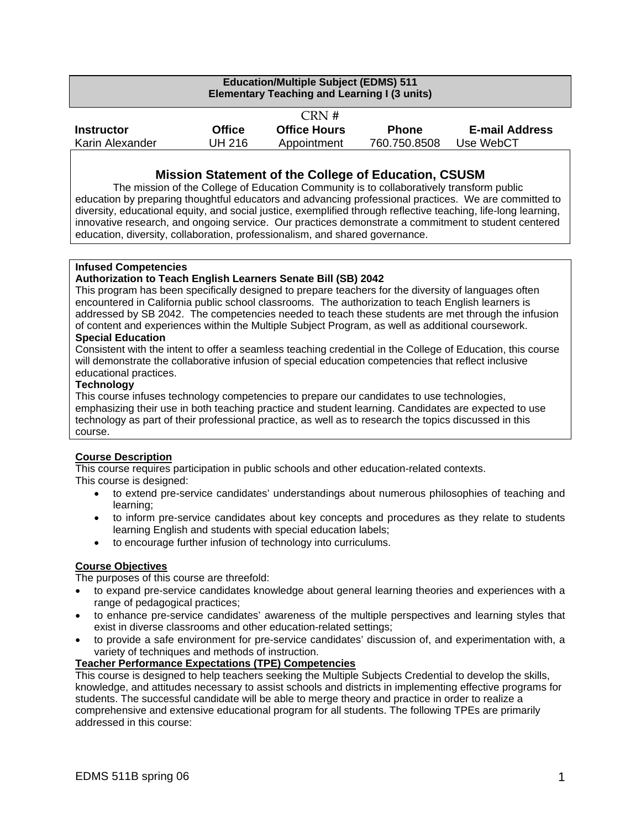| <b>Education/Multiple Subject (EDMS) 511</b><br><b>Elementary Teaching and Learning I (3 units)</b> |               |                     |              |                       |
|-----------------------------------------------------------------------------------------------------|---------------|---------------------|--------------|-----------------------|
| CRN#                                                                                                |               |                     |              |                       |
| <b>Instructor</b>                                                                                   | <b>Office</b> | <b>Office Hours</b> | <b>Phone</b> | <b>E-mail Address</b> |
| Karin Alexander                                                                                     | UH 216        | Appointment         | 760.750.8508 | Use WebCT             |

#### **Mission Statement of the College of Education, CSUSM**

The mission of the College of Education Community is to collaboratively transform public education by preparing thoughtful educators and advancing professional practices. We are committed to diversity, educational equity, and social justice, exemplified through reflective teaching, life-long learning, innovative research, and ongoing service. Our practices demonstrate a commitment to student centered education, diversity, collaboration, professionalism, and shared governance.

#### **Infused Competencies**

#### **Authorization to Teach English Learners Senate Bill (SB) 2042**

This program has been specifically designed to prepare teachers for the diversity of languages often encountered in California public school classrooms. The authorization to teach English learners is addressed by SB 2042. The competencies needed to teach these students are met through the infusion of content and experiences within the Multiple Subject Program, as well as additional coursework.

#### **Special Education**

Consistent with the intent to offer a seamless teaching credential in the College of Education, this course will demonstrate the collaborative infusion of special education competencies that reflect inclusive educational practices.

#### **Technology**

This course infuses technology competencies to prepare our candidates to use technologies, emphasizing their use in both teaching practice and student learning. Candidates are expected to use technology as part of their professional practice, as well as to research the topics discussed in this course.

#### **Course Description**

This course requires participation in public schools and other education-related contexts. This course is designed:

- to extend pre-service candidates' understandings about numerous philosophies of teaching and learning;
- to inform pre-service candidates about key concepts and procedures as they relate to students learning English and students with special education labels;
- to encourage further infusion of technology into curriculums.

#### **Course Objectives**

The purposes of this course are threefold:

- to expand pre-service candidates knowledge about general learning theories and experiences with a range of pedagogical practices;
- to enhance pre-service candidates' awareness of the multiple perspectives and learning styles that exist in diverse classrooms and other education-related settings;
- to provide a safe environment for pre-service candidates' discussion of, and experimentation with, a variety of techniques and methods of instruction.

#### **Teacher Performance Expectations (TPE) Competencies**

This course is designed to help teachers seeking the Multiple Subjects Credential to develop the skills, knowledge, and attitudes necessary to assist schools and districts in implementing effective programs for students. The successful candidate will be able to merge theory and practice in order to realize a comprehensive and extensive educational program for all students. The following TPEs are primarily addressed in this course: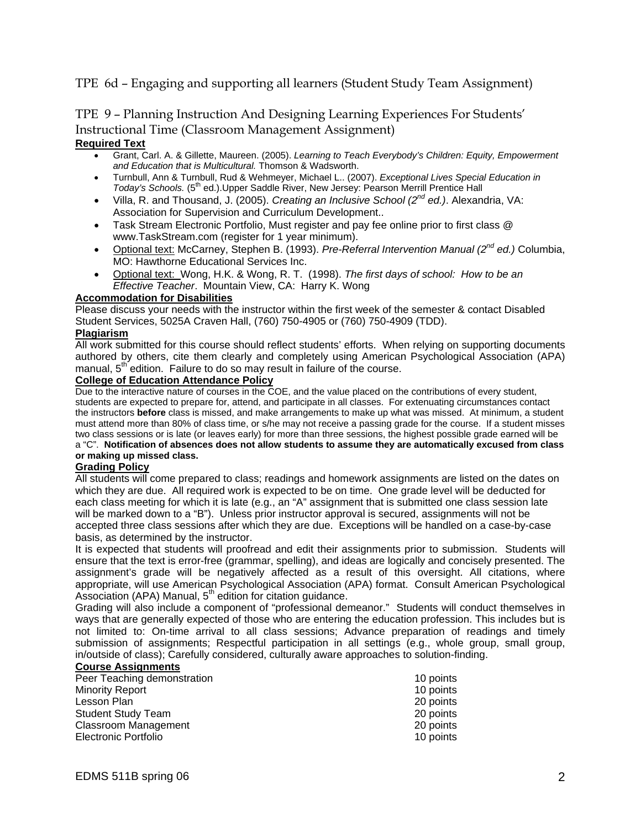## TPE 6d – Engaging and supporting all learners (Student Study Team Assignment)

# TPE 9 – Planning Instruction And Designing Learning Experiences For Students' Instructional Time (Classroom Management Assignment)

#### **Required Text**

- Grant, Carl. A. & Gillette, Maureen. (2005). *Learning to Teach Everybody's Children: Equity, Empowerment and Education that is Multicultural.* Thomson & Wadsworth.
- Turnbull, Ann & Turnbull, Rud & Wehmeyer, Michael L.. (2007). *Exceptional Lives Special Education in Today's Schools.* (5<sup>th</sup> ed.).Upper Saddle River, New Jersey: Pearson Merrill Prentice Hall
- Villa, R. and Thousand, J. (2005). *Creating an Inclusive School (2nd ed.)*. Alexandria, VA: Association for Supervision and Curriculum Development..
- Task Stream Electronic Portfolio, Must register and pay fee online prior to first class @ www.TaskStream.com (register for 1 year minimum).
- Optional text: McCarney, Stephen B. (1993). *Pre-Referral Intervention Manual (2nd ed.)* Columbia, MO: Hawthorne Educational Services Inc.
- Optional text: Wong, H.K. & Wong, R. T. (1998). *The first days of school: How to be an Effective Teacher*. Mountain View, CA: Harry K. Wong

#### **Accommodation for Disabilities**

Please discuss your needs with the instructor within the first week of the semester & contact Disabled Student Services, 5025A Craven Hall, (760) 750-4905 or (760) 750-4909 (TDD).

#### **Plagiarism**

All work submitted for this course should reflect students' efforts. When relying on supporting documents authored by others, cite them clearly and completely using American Psychological Association (APA) manual,  $5<sup>th</sup>$  edition. Failure to do so may result in failure of the course.

#### **College of Education Attendance Policy**

Due to the interactive nature of courses in the COE, and the value placed on the contributions of every student, students are expected to prepare for, attend, and participate in all classes. For extenuating circumstances contact the instructors **before** class is missed, and make arrangements to make up what was missed. At minimum, a student must attend more than 80% of class time, or s/he may not receive a passing grade for the course. If a student misses two class sessions or is late (or leaves early) for more than three sessions, the highest possible grade earned will be a "C". **Notification of absences does not allow students to assume they are automatically excused from class or making up missed class.** 

#### **Grading Policy**

All students will come prepared to class; readings and homework assignments are listed on the dates on which they are due. All required work is expected to be on time. One grade level will be deducted for each class meeting for which it is late (e.g., an "A" assignment that is submitted one class session late will be marked down to a "B"). Unless prior instructor approval is secured, assignments will not be accepted three class sessions after which they are due. Exceptions will be handled on a case-by-case basis, as determined by the instructor.

It is expected that students will proofread and edit their assignments prior to submission. Students will ensure that the text is error-free (grammar, spelling), and ideas are logically and concisely presented. The assignment's grade will be negatively affected as a result of this oversight. All citations, where appropriate, will use American Psychological Association (APA) format. Consult American Psychological Association (APA) Manual,  $5<sup>th</sup>$  edition for citation guidance.

Grading will also include a component of "professional demeanor." Students will conduct themselves in ways that are generally expected of those who are entering the education profession. This includes but is not limited to: On-time arrival to all class sessions; Advance preparation of readings and timely submission of assignments; Respectful participation in all settings (e.g., whole group, small group, in/outside of class); Carefully considered, culturally aware approaches to solution-finding.

#### **Course Assignments**

| Peer Teaching demonstration | 10 points |
|-----------------------------|-----------|
| <b>Minority Report</b>      | 10 points |
| Lesson Plan                 | 20 points |
| <b>Student Study Team</b>   | 20 points |
| <b>Classroom Management</b> | 20 points |
| <b>Electronic Portfolio</b> | 10 points |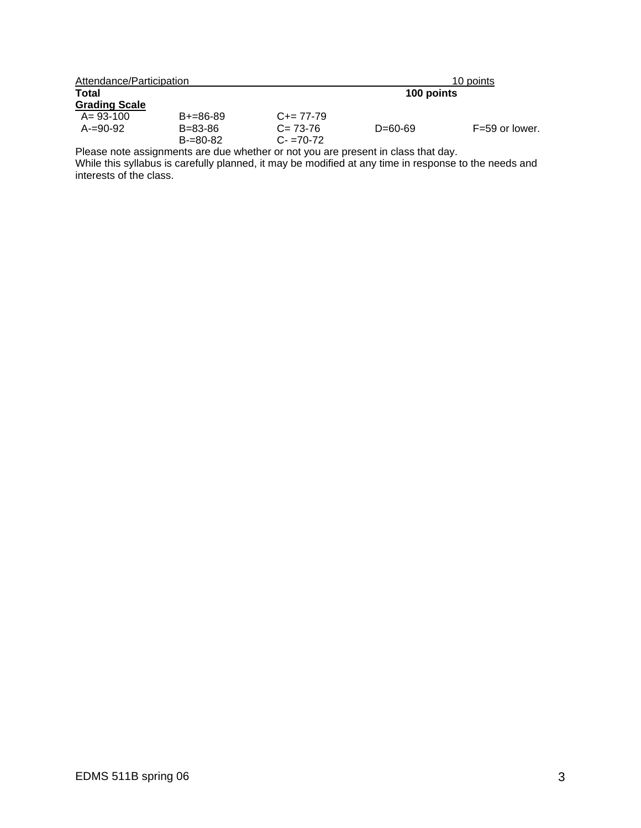| Attendance/Participation |               |                     |            | 10 points        |
|--------------------------|---------------|---------------------|------------|------------------|
| <b>Total</b>             |               |                     | 100 points |                  |
| <b>Grading Scale</b>     |               |                     |            |                  |
| $A = 93 - 100$           | $B+=86-89$    | $C_{\pm} = 77 - 79$ |            |                  |
| $A=90-92$                | B=83-86       | $C = 73-76$         | D=60-69    | $F=59$ or lower. |
|                          | $B = 80 - 82$ | $C = 70-72$         |            |                  |

Please note assignments are due whether or not you are present in class that day.

While this syllabus is carefully planned, it may be modified at any time in response to the needs and interests of the class.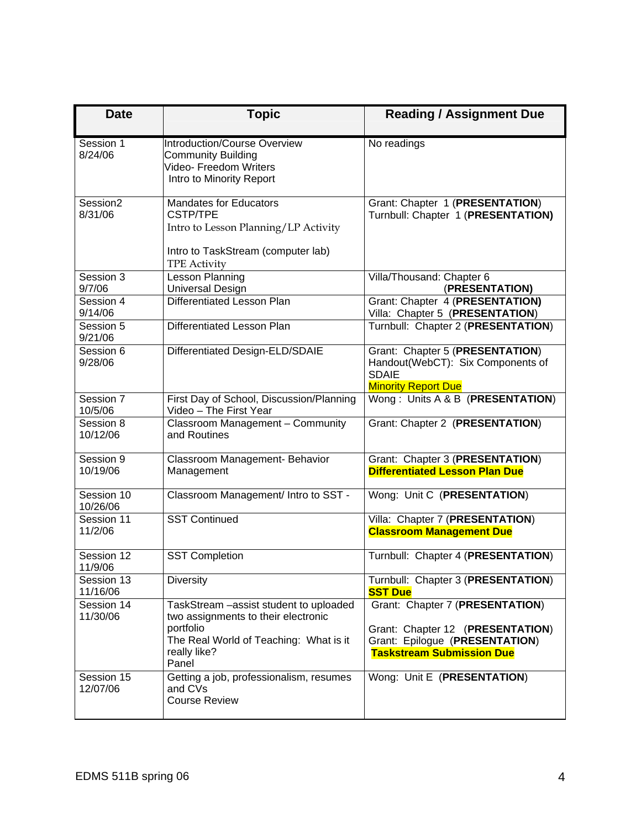| <b>Date</b>            | <b>Topic</b>                                                                                                                                                   | <b>Reading / Assignment Due</b>                                                                                                           |  |
|------------------------|----------------------------------------------------------------------------------------------------------------------------------------------------------------|-------------------------------------------------------------------------------------------------------------------------------------------|--|
| Session 1<br>8/24/06   | <b>Introduction/Course Overview</b><br><b>Community Building</b><br>Video- Freedom Writers<br>Intro to Minority Report                                         | No readings                                                                                                                               |  |
| Session2<br>8/31/06    | <b>Mandates for Educators</b><br>CSTP/TPE<br>Intro to Lesson Planning/LP Activity<br>Intro to TaskStream (computer lab)<br><b>TPE Activity</b>                 | Grant: Chapter 1 (PRESENTATION)<br>Turnbull: Chapter 1 (PRESENTATION)                                                                     |  |
| Session 3<br>9/7/06    | Lesson Planning<br><b>Universal Design</b>                                                                                                                     | Villa/Thousand: Chapter 6<br>(PRESENTATION)                                                                                               |  |
| Session 4<br>9/14/06   | Differentiated Lesson Plan                                                                                                                                     | Grant: Chapter 4 (PRESENTATION)<br>Villa: Chapter 5 (PRESENTATION)                                                                        |  |
| Session 5<br>9/21/06   | <b>Differentiated Lesson Plan</b>                                                                                                                              | Turnbull: Chapter 2 (PRESENTATION)                                                                                                        |  |
| Session 6<br>9/28/06   | Differentiated Design-ELD/SDAIE                                                                                                                                | Grant: Chapter 5 (PRESENTATION)<br>Handout(WebCT): Six Components of<br><b>SDAIE</b><br><b>Minority Report Due</b>                        |  |
| Session 7<br>10/5/06   | First Day of School, Discussion/Planning<br>Video - The First Year                                                                                             | Wong: Units A & B (PRESENTATION)                                                                                                          |  |
| Session 8<br>10/12/06  | Classroom Management - Community<br>and Routines                                                                                                               | Grant: Chapter 2 (PRESENTATION)                                                                                                           |  |
| Session 9<br>10/19/06  | Classroom Management- Behavior<br>Management                                                                                                                   | Grant: Chapter 3 (PRESENTATION)<br><b>Differentiated Lesson Plan Due</b>                                                                  |  |
| Session 10<br>10/26/06 | Classroom Management/ Intro to SST -                                                                                                                           | Wong: Unit C (PRESENTATION)                                                                                                               |  |
| Session 11<br>11/2/06  | <b>SST Continued</b>                                                                                                                                           | Villa: Chapter 7 (PRESENTATION)<br><b>Classroom Management Due</b>                                                                        |  |
| Session 12<br>11/9/06  | <b>SST Completion</b>                                                                                                                                          | Turnbull: Chapter 4 (PRESENTATION)                                                                                                        |  |
| Session 13<br>11/16/06 | <b>Diversity</b>                                                                                                                                               | Turnbull: Chapter 3 (PRESENTATION)<br><b>SST Due</b>                                                                                      |  |
| Session 14<br>11/30/06 | TaskStream - assist student to uploaded<br>two assignments to their electronic<br>portfolio<br>The Real World of Teaching: What is it<br>really like?<br>Panel | Grant: Chapter 7 (PRESENTATION)<br>Grant: Chapter 12 (PRESENTATION)<br>Grant: Epilogue (PRESENTATION)<br><b>Taskstream Submission Due</b> |  |
| Session 15<br>12/07/06 | Getting a job, professionalism, resumes<br>and CVs<br><b>Course Review</b>                                                                                     | Wong: Unit E (PRESENTATION)                                                                                                               |  |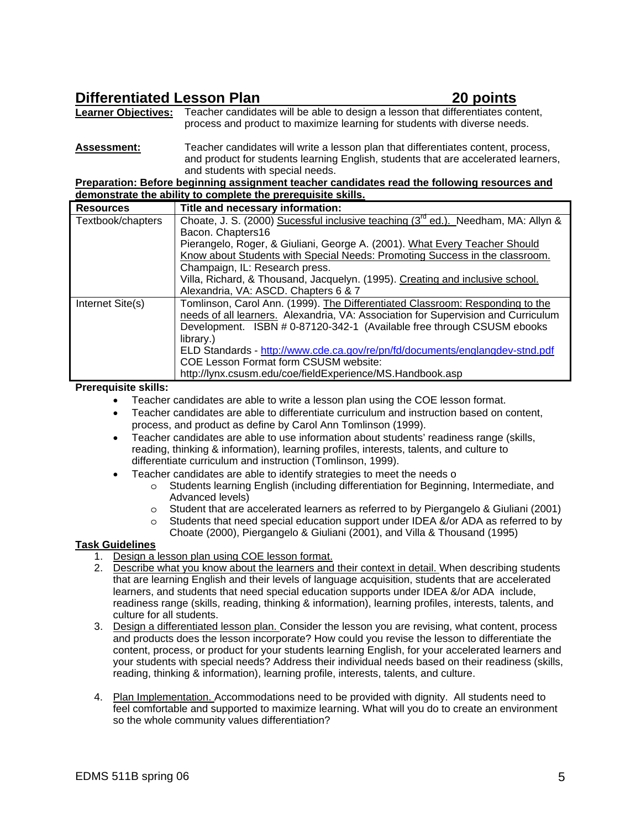# **Differentiated Lesson Plan 20 points**

**Learner Objectives:** Teacher candidates will be able to design a lesson that differentiates content, process and product to maximize learning for students with diverse needs.

**Assessment:** Teacher candidates will write a lesson plan that differentiates content, process, and product for students learning English, students that are accelerated learners, and students with special needs.

**Preparation: Before beginning assignment teacher candidates read the following resources and demonstrate the ability to complete the prerequisite skills.**

| <b>Resources</b>  | Title and necessary information:                                                       |
|-------------------|----------------------------------------------------------------------------------------|
| Textbook/chapters | Choate, J. S. (2000) Sucessful inclusive teaching $(3^{rd}$ ed.). Needham, MA: Allyn & |
|                   | Bacon. Chapters16                                                                      |
|                   | Pierangelo, Roger, & Giuliani, George A. (2001). What Every Teacher Should             |
|                   | Know about Students with Special Needs: Promoting Success in the classroom.            |
|                   | Champaign, IL: Research press.                                                         |
|                   | Villa, Richard, & Thousand, Jacquelyn. (1995). Creating and inclusive school.          |
|                   | Alexandria, VA: ASCD. Chapters 6 & 7                                                   |
| Internet Site(s)  | Tomlinson, Carol Ann. (1999). The Differentiated Classroom: Responding to the          |
|                   | needs of all learners. Alexandria, VA: Association for Supervision and Curriculum      |
|                   | Development. ISBN # 0-87120-342-1 (Available free through CSUSM ebooks                 |
|                   | library.)                                                                              |
|                   | ELD Standards - http://www.cde.ca.gov/re/pn/fd/documents/englangdev-stnd.pdf           |
|                   | COE Lesson Format form CSUSM website:                                                  |
|                   | http://lynx.csusm.edu/coe/fieldExperience/MS.Handbook.asp                              |

**Prerequisite skills:** 

- Teacher candidates are able to write a lesson plan using the COE lesson format.
- Teacher candidates are able to differentiate curriculum and instruction based on content, process, and product as define by Carol Ann Tomlinson (1999).
- Teacher candidates are able to use information about students' readiness range (skills, reading, thinking & information), learning profiles, interests, talents, and culture to differentiate curriculum and instruction (Tomlinson, 1999).
- Teacher candidates are able to identify strategies to meet the needs o
	- o Students learning English (including differentiation for Beginning, Intermediate, and Advanced levels)
	- o Student that are accelerated learners as referred to by Piergangelo & Giuliani (2001)
	- o Students that need special education support under IDEA &/or ADA as referred to by Choate (2000), Piergangelo & Giuliani (2001), and Villa & Thousand (1995)

#### **Task Guidelines**

- 1. Design a lesson plan using COE lesson format.
- 2. Describe what you know about the learners and their context in detail. When describing students that are learning English and their levels of language acquisition, students that are accelerated learners, and students that need special education supports under IDEA &/or ADA include, readiness range (skills, reading, thinking & information), learning profiles, interests, talents, and culture for all students.
- 3. Design a differentiated lesson plan. Consider the lesson you are revising, what content, process and products does the lesson incorporate? How could you revise the lesson to differentiate the content, process, or product for your students learning English, for your accelerated learners and your students with special needs? Address their individual needs based on their readiness (skills, reading, thinking & information), learning profile, interests, talents, and culture.
- 4. Plan Implementation. Accommodations need to be provided with dignity. All students need to feel comfortable and supported to maximize learning. What will you do to create an environment so the whole community values differentiation?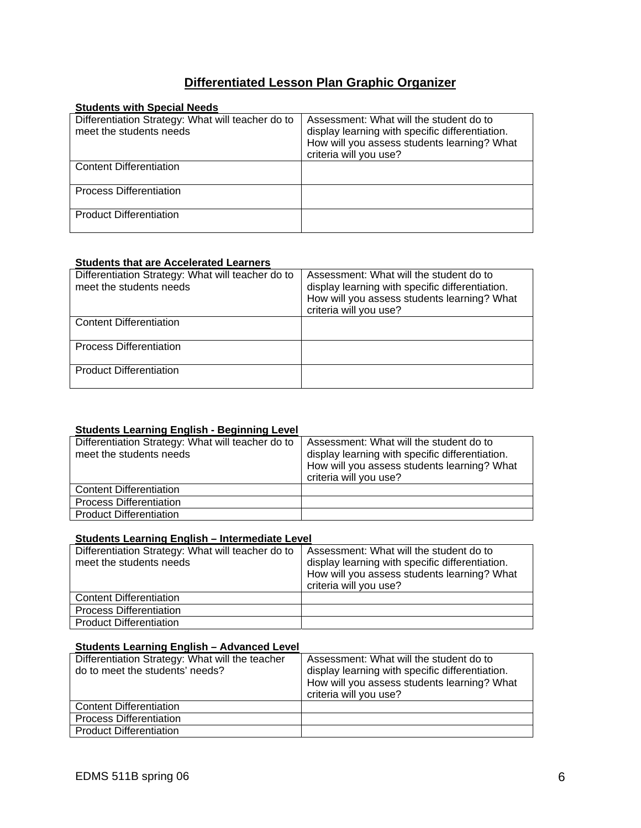# **Differentiated Lesson Plan Graphic Organizer**

| <b>Students with Special Needs</b>                                           |                                                                                                                                                                     |
|------------------------------------------------------------------------------|---------------------------------------------------------------------------------------------------------------------------------------------------------------------|
| Differentiation Strategy: What will teacher do to<br>meet the students needs | Assessment: What will the student do to<br>display learning with specific differentiation.<br>How will you assess students learning? What<br>criteria will you use? |
| <b>Content Differentiation</b>                                               |                                                                                                                                                                     |
| <b>Process Differentiation</b>                                               |                                                                                                                                                                     |
| <b>Product Differentiation</b>                                               |                                                                                                                                                                     |

#### **Students that are Accelerated Learners**

| Differentiation Strategy: What will teacher do to<br>meet the students needs | Assessment: What will the student do to<br>display learning with specific differentiation.<br>How will you assess students learning? What<br>criteria will you use? |
|------------------------------------------------------------------------------|---------------------------------------------------------------------------------------------------------------------------------------------------------------------|
| <b>Content Differentiation</b>                                               |                                                                                                                                                                     |
| <b>Process Differentiation</b>                                               |                                                                                                                                                                     |
| <b>Product Differentiation</b>                                               |                                                                                                                                                                     |

#### **Students Learning English - Beginning Level**

| Differentiation Strategy: What will teacher do to<br>meet the students needs | Assessment: What will the student do to<br>display learning with specific differentiation.<br>How will you assess students learning? What<br>criteria will you use? |
|------------------------------------------------------------------------------|---------------------------------------------------------------------------------------------------------------------------------------------------------------------|
| <b>Content Differentiation</b>                                               |                                                                                                                                                                     |
| <b>Process Differentiation</b>                                               |                                                                                                                                                                     |
| <b>Product Differentiation</b>                                               |                                                                                                                                                                     |

#### **Students Learning English – Intermediate Level**

| Differentiation Strategy: What will teacher do to<br>meet the students needs | Assessment: What will the student do to<br>display learning with specific differentiation.<br>How will you assess students learning? What<br>criteria will you use? |
|------------------------------------------------------------------------------|---------------------------------------------------------------------------------------------------------------------------------------------------------------------|
| <b>Content Differentiation</b>                                               |                                                                                                                                                                     |
| <b>Process Differentiation</b>                                               |                                                                                                                                                                     |
| <b>Product Differentiation</b>                                               |                                                                                                                                                                     |

#### **Students Learning English – Advanced Level**

| Differentiation Strategy: What will the teacher<br>do to meet the students' needs? | Assessment: What will the student do to<br>display learning with specific differentiation.<br>How will you assess students learning? What<br>criteria will you use? |
|------------------------------------------------------------------------------------|---------------------------------------------------------------------------------------------------------------------------------------------------------------------|
| <b>Content Differentiation</b>                                                     |                                                                                                                                                                     |
| <b>Process Differentiation</b>                                                     |                                                                                                                                                                     |
| <b>Product Differentiation</b>                                                     |                                                                                                                                                                     |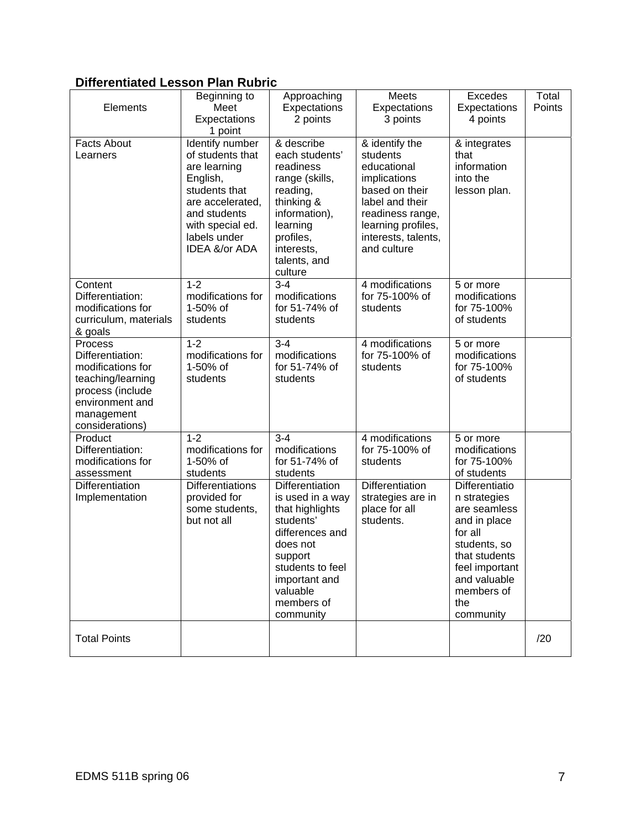# **Differentiated Lesson Plan Rubric**

| Elements                                                                                                                                      | Beginning to<br>Meet<br>Expectations<br>1 point                                                                                                                           | Approaching<br>Expectations<br>2 points                                                                                                                                                          | <b>Meets</b><br>Expectations<br>3 points                                                                                                                                       | Excedes<br>Expectations<br>4 points                                                                                                                                            | Total<br>Points |
|-----------------------------------------------------------------------------------------------------------------------------------------------|---------------------------------------------------------------------------------------------------------------------------------------------------------------------------|--------------------------------------------------------------------------------------------------------------------------------------------------------------------------------------------------|--------------------------------------------------------------------------------------------------------------------------------------------------------------------------------|--------------------------------------------------------------------------------------------------------------------------------------------------------------------------------|-----------------|
| <b>Facts About</b><br>Learners                                                                                                                | Identify number<br>of students that<br>are learning<br>English,<br>students that<br>are accelerated,<br>and students<br>with special ed.<br>labels under<br>IDEA &/or ADA | & describe<br>each students'<br>readiness<br>range (skills,<br>reading,<br>thinking &<br>information),<br>learning<br>profiles,<br>interests,<br>talents, and<br>culture                         | & identify the<br>students<br>educational<br>implications<br>based on their<br>label and their<br>readiness range,<br>learning profiles,<br>interests, talents,<br>and culture | & integrates<br>that<br>information<br>into the<br>lesson plan.                                                                                                                |                 |
| Content<br>Differentiation:<br>modifications for<br>curriculum, materials<br>& goals                                                          | $1 - 2$<br>modifications for<br>1-50% of<br>students                                                                                                                      | $3 - 4$<br>modifications<br>for 51-74% of<br>students                                                                                                                                            | 4 modifications<br>for 75-100% of<br>students                                                                                                                                  | 5 or more<br>modifications<br>for 75-100%<br>of students                                                                                                                       |                 |
| Process<br>Differentiation:<br>modifications for<br>teaching/learning<br>process (include<br>environment and<br>management<br>considerations) | $1 - 2$<br>modifications for<br>1-50% of<br>students                                                                                                                      | $3 - 4$<br>modifications<br>for 51-74% of<br>students                                                                                                                                            | 4 modifications<br>for 75-100% of<br>students                                                                                                                                  | 5 or more<br>modifications<br>for 75-100%<br>of students                                                                                                                       |                 |
| Product<br>Differentiation:<br>modifications for<br>assessment                                                                                | $1 - 2$<br>modifications for<br>1-50% of<br>students                                                                                                                      | $3 - 4$<br>modifications<br>for 51-74% of<br>students                                                                                                                                            | 4 modifications<br>for 75-100% of<br>students                                                                                                                                  | 5 or more<br>modifications<br>for 75-100%<br>of students                                                                                                                       |                 |
| Differentiation<br>Implementation                                                                                                             | <b>Differentiations</b><br>provided for<br>some students,<br>but not all                                                                                                  | <b>Differentiation</b><br>is used in a way<br>that highlights<br>students'<br>differences and<br>does not<br>support<br>students to feel<br>important and<br>valuable<br>members of<br>community | Differentiation<br>strategies are in<br>place for all<br>students.                                                                                                             | Differentiatio<br>n strategies<br>are seamless<br>and in place<br>for all<br>students, so<br>that students<br>feel important<br>and valuable<br>members of<br>the<br>community |                 |
| <b>Total Points</b>                                                                                                                           |                                                                                                                                                                           |                                                                                                                                                                                                  |                                                                                                                                                                                |                                                                                                                                                                                | /20             |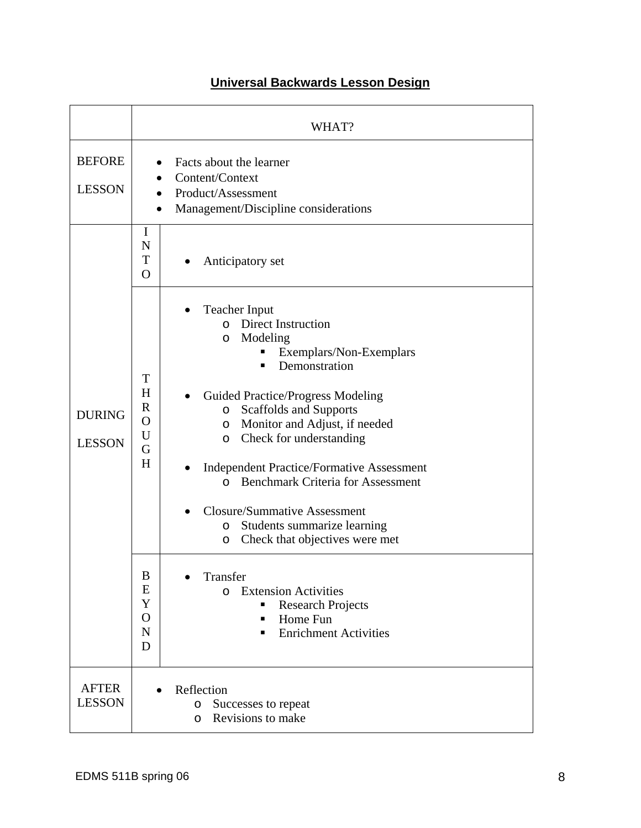|                                | WHAT?                                                                                                                                                                                                                                                                                                                                                                                                                                                                                                                                                                                                                                                                                                                                               |  |  |
|--------------------------------|-----------------------------------------------------------------------------------------------------------------------------------------------------------------------------------------------------------------------------------------------------------------------------------------------------------------------------------------------------------------------------------------------------------------------------------------------------------------------------------------------------------------------------------------------------------------------------------------------------------------------------------------------------------------------------------------------------------------------------------------------------|--|--|
| <b>BEFORE</b><br><b>LESSON</b> | Facts about the learner<br>Content/Context<br>Product/Assessment<br>Management/Discipline considerations<br>$\bullet$                                                                                                                                                                                                                                                                                                                                                                                                                                                                                                                                                                                                                               |  |  |
|                                | I<br>N<br>T<br>Anticipatory set<br>$\overline{O}$                                                                                                                                                                                                                                                                                                                                                                                                                                                                                                                                                                                                                                                                                                   |  |  |
| <b>DURING</b><br><b>LESSON</b> | <b>Teacher Input</b><br><b>Direct Instruction</b><br>$\Omega$<br>Modeling<br>O<br>Exemplars/Non-Exemplars<br>п<br>Demonstration<br>T<br>H<br><b>Guided Practice/Progress Modeling</b><br>$\mathbf R$<br>Scaffolds and Supports<br>$\circ$<br>O<br>Monitor and Adjust, if needed<br>O<br>U<br>Check for understanding<br>$\circ$<br>G<br>H<br><b>Independent Practice/Formative Assessment</b><br><b>Benchmark Criteria for Assessment</b><br>$\Omega$<br><b>Closure/Summative Assessment</b><br>Students summarize learning<br>O<br>Check that objectives were met<br>O<br>Transfer<br>В<br>E<br><b>Extension Activities</b><br>$\Omega$<br>Y<br><b>Research Projects</b><br>$\mathbf O$<br>Home Fun<br>N<br><b>Enrichment Activities</b><br>▪<br>D |  |  |
| <b>AFTER</b><br><b>LESSON</b>  | Reflection<br>$\bullet$<br>Successes to repeat<br>O<br>Revisions to make<br>O                                                                                                                                                                                                                                                                                                                                                                                                                                                                                                                                                                                                                                                                       |  |  |

# **Universal Backwards Lesson Design**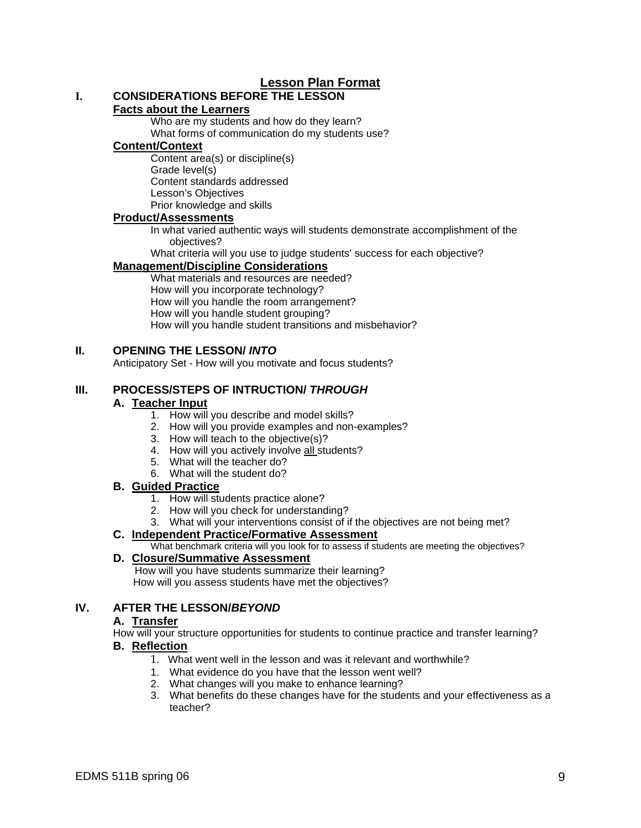# **Lesson Plan Format**

# **I. CONSIDERATIONS BEFORE THE LESSON**

#### **Facts about the Learners**

Who are my students and how do they learn? What forms of communication do my students use?

#### **Content/Context**

Content area(s) or discipline(s) Grade level(s) Content standards addressed Lesson's Objectives Prior knowledge and skills

#### **Product/Assessments**

In what varied authentic ways will students demonstrate accomplishment of the objectives?

What criteria will you use to judge students' success for each objective?

#### **Management/Discipline Considerations**

What materials and resources are needed? How will you incorporate technology? How will you handle the room arrangement? How will you handle student grouping? How will you handle student transitions and misbehavior?

#### **II. OPENING THE LESSON/** *INTO*

Anticipatory Set - How will you motivate and focus students?

### **III. PROCESS/STEPS OF INTRUCTION/** *THROUGH*

#### **A. Teacher Input**

- 1. How will you describe and model skills?
- 2. How will you provide examples and non-examples?
- 3. How will teach to the objective(s)?
- 4. How will you actively involve all students?
- 5. What will the teacher do?
- 6. What will the student do?

#### **B. Guided Practice**

- 1. How will students practice alone?
- 2. How will you check for understanding?
- 3. What will your interventions consist of if the objectives are not being met?

# **C. Independent Practice/Formative Assessment**

What benchmark criteria will you look for to assess if students are meeting the objectives?

### **D. Closure/Summative Assessment**

 How will you have students summarize their learning? How will you assess students have met the objectives?

### **IV. AFTER THE LESSON/***BEYOND*

#### **A. Transfer**

How will your structure opportunities for students to continue practice and transfer learning?

#### **B. Reflection**

- 1. What went well in the lesson and was it relevant and worthwhile?
- 1. What evidence do you have that the lesson went well?
- 2. What changes will you make to enhance learning?
- 3. What benefits do these changes have for the students and your effectiveness as a teacher?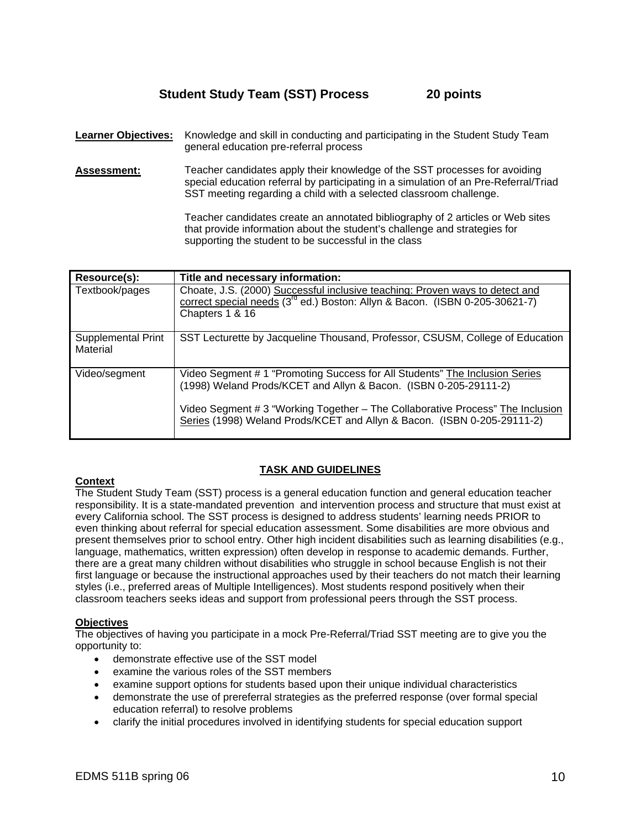## **Student Study Team (SST) Process 20 points**

**Learner Objectives:** Knowledge and skill in conducting and participating in the Student Study Team general education pre-referral process

**Assessment:** Teacher candidates apply their knowledge of the SST processes for avoiding special education referral by participating in a simulation of an Pre-Referral/Triad SST meeting regarding a child with a selected classroom challenge.

> Teacher candidates create an annotated bibliography of 2 articles or Web sites that provide information about the student's challenge and strategies for supporting the student to be successful in the class

| Resource(s):                   | Title and necessary information:                                                                                                                                                                                                                                                                             |
|--------------------------------|--------------------------------------------------------------------------------------------------------------------------------------------------------------------------------------------------------------------------------------------------------------------------------------------------------------|
| Textbook/pages                 | Choate, J.S. (2000) Successful inclusive teaching: Proven ways to detect and<br>correct special needs (3 <sup>rd</sup> ed.) Boston: Allyn & Bacon. (ISBN 0-205-30621-7)<br>Chapters 1 & 16                                                                                                                   |
| Supplemental Print<br>Material | SST Lecturette by Jacqueline Thousand, Professor, CSUSM, College of Education                                                                                                                                                                                                                                |
| Video/segment                  | Video Segment # 1 "Promoting Success for All Students" The Inclusion Series<br>(1998) Weland Prods/KCET and Allyn & Bacon. (ISBN 0-205-29111-2)<br>Video Segment # 3 "Working Together – The Collaborative Process" The Inclusion<br>Series (1998) Weland Prods/KCET and Allyn & Bacon. (ISBN 0-205-29111-2) |

#### **TASK AND GUIDELINES**

#### **Context**

The Student Study Team (SST) process is a general education function and general education teacher responsibility. It is a state-mandated prevention and intervention process and structure that must exist at every California school. The SST process is designed to address students' learning needs PRIOR to even thinking about referral for special education assessment. Some disabilities are more obvious and present themselves prior to school entry. Other high incident disabilities such as learning disabilities (e.g., language, mathematics, written expression) often develop in response to academic demands. Further, there are a great many children without disabilities who struggle in school because English is not their first language or because the instructional approaches used by their teachers do not match their learning styles (i.e., preferred areas of Multiple Intelligences). Most students respond positively when their classroom teachers seeks ideas and support from professional peers through the SST process.

#### **Objectives**

The objectives of having you participate in a mock Pre-Referral/Triad SST meeting are to give you the opportunity to:

- demonstrate effective use of the SST model
- examine the various roles of the SST members
- examine support options for students based upon their unique individual characteristics
- demonstrate the use of prereferral strategies as the preferred response (over formal special education referral) to resolve problems
- clarify the initial procedures involved in identifying students for special education support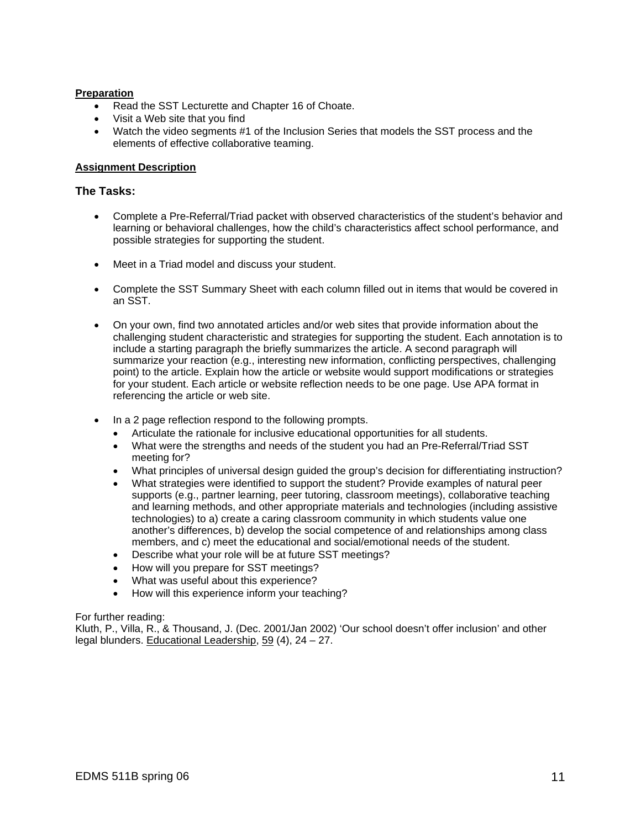#### **Preparation**

- Read the SST Lecturette and Chapter 16 of Choate.
- Visit a Web site that you find
- Watch the video segments #1 of the Inclusion Series that models the SST process and the elements of effective collaborative teaming.

#### **Assignment Description**

#### **The Tasks:**

- Complete a Pre-Referral/Triad packet with observed characteristics of the student's behavior and learning or behavioral challenges, how the child's characteristics affect school performance, and possible strategies for supporting the student.
- Meet in a Triad model and discuss your student.
- Complete the SST Summary Sheet with each column filled out in items that would be covered in an SST.
- On your own, find two annotated articles and/or web sites that provide information about the challenging student characteristic and strategies for supporting the student. Each annotation is to include a starting paragraph the briefly summarizes the article. A second paragraph will summarize your reaction (e.g., interesting new information, conflicting perspectives, challenging point) to the article. Explain how the article or website would support modifications or strategies for your student. Each article or website reflection needs to be one page. Use APA format in referencing the article or web site.
- In a 2 page reflection respond to the following prompts.
	- Articulate the rationale for inclusive educational opportunities for all students.
	- What were the strengths and needs of the student you had an Pre-Referral/Triad SST meeting for?
	- What principles of universal design guided the group's decision for differentiating instruction?
	- What strategies were identified to support the student? Provide examples of natural peer supports (e.g., partner learning, peer tutoring, classroom meetings), collaborative teaching and learning methods, and other appropriate materials and technologies (including assistive technologies) to a) create a caring classroom community in which students value one another's differences, b) develop the social competence of and relationships among class members, and c) meet the educational and social/emotional needs of the student.
	- Describe what your role will be at future SST meetings?
	- How will you prepare for SST meetings?
	- What was useful about this experience?
	- How will this experience inform your teaching?

#### For further reading:

Kluth, P., Villa, R., & Thousand, J. (Dec. 2001/Jan 2002) 'Our school doesn't offer inclusion' and other legal blunders. Educational Leadership, 59 (4), 24 – 27.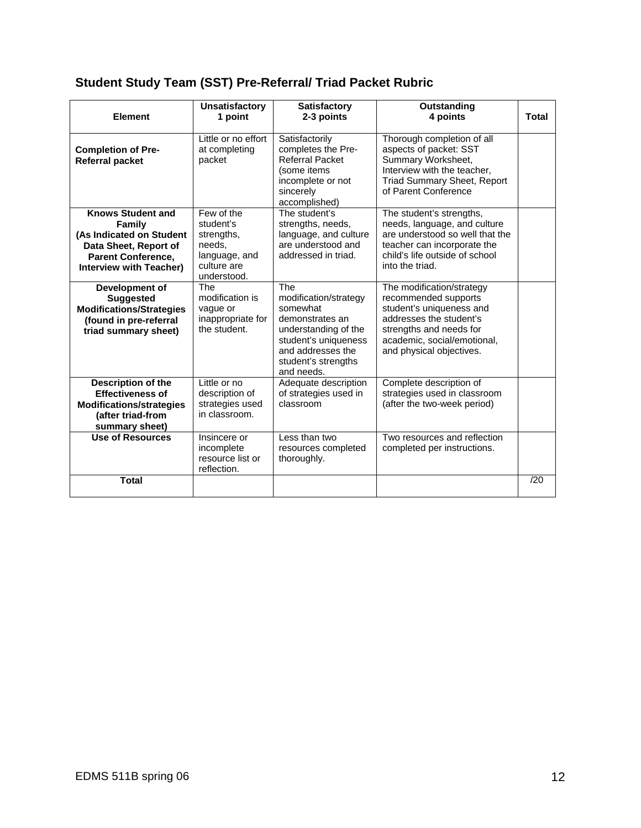# **Student Study Team (SST) Pre-Referral/ Triad Packet Rubric**

| <b>Element</b>                                                                                                                                                | <b>Unsatisfactory</b><br>1 point                                                               | <b>Satisfactory</b><br>2-3 points                                                                                                                                     | Outstanding<br>4 points                                                                                                                                                                        | <b>Total</b> |
|---------------------------------------------------------------------------------------------------------------------------------------------------------------|------------------------------------------------------------------------------------------------|-----------------------------------------------------------------------------------------------------------------------------------------------------------------------|------------------------------------------------------------------------------------------------------------------------------------------------------------------------------------------------|--------------|
| <b>Completion of Pre-</b><br><b>Referral packet</b>                                                                                                           | Little or no effort<br>at completing<br>packet                                                 | Satisfactorily<br>completes the Pre-<br><b>Referral Packet</b><br>(some items<br>incomplete or not<br>sincerely<br>accomplished)                                      | Thorough completion of all<br>aspects of packet: SST<br>Summary Worksheet,<br>Interview with the teacher,<br>Triad Summary Sheet, Report<br>of Parent Conference                               |              |
| <b>Knows Student and</b><br><b>Family</b><br>(As Indicated on Student<br>Data Sheet, Report of<br><b>Parent Conference,</b><br><b>Interview with Teacher)</b> | Few of the<br>student's<br>strengths,<br>needs.<br>language, and<br>culture are<br>understood. | The student's<br>strengths, needs,<br>language, and culture<br>are understood and<br>addressed in triad.                                                              | The student's strengths,<br>needs, language, and culture<br>are understood so well that the<br>teacher can incorporate the<br>child's life outside of school<br>into the triad.                |              |
| Development of<br><b>Suggested</b><br><b>Modifications/Strategies</b><br>(found in pre-referral<br>triad summary sheet)                                       | <b>The</b><br>modification is<br>vague or<br>inappropriate for<br>the student.                 | The<br>modification/strategy<br>somewhat<br>demonstrates an<br>understanding of the<br>student's uniqueness<br>and addresses the<br>student's strengths<br>and needs. | The modification/strategy<br>recommended supports<br>student's uniqueness and<br>addresses the student's<br>strengths and needs for<br>academic. social/emotional.<br>and physical objectives. |              |
| Description of the<br><b>Effectiveness of</b><br><b>Modifications/strategies</b><br>(after triad-from<br>summary sheet)                                       | Little or no<br>description of<br>strategies used<br>in classroom.                             | Adequate description<br>of strategies used in<br>classroom                                                                                                            | Complete description of<br>strategies used in classroom<br>(after the two-week period)                                                                                                         |              |
| <b>Use of Resources</b>                                                                                                                                       | Insincere or<br>incomplete<br>resource list or<br>reflection.                                  | Less than two<br>resources completed<br>thoroughly.                                                                                                                   | Two resources and reflection<br>completed per instructions.                                                                                                                                    |              |
| <b>Total</b>                                                                                                                                                  |                                                                                                |                                                                                                                                                                       |                                                                                                                                                                                                | /20          |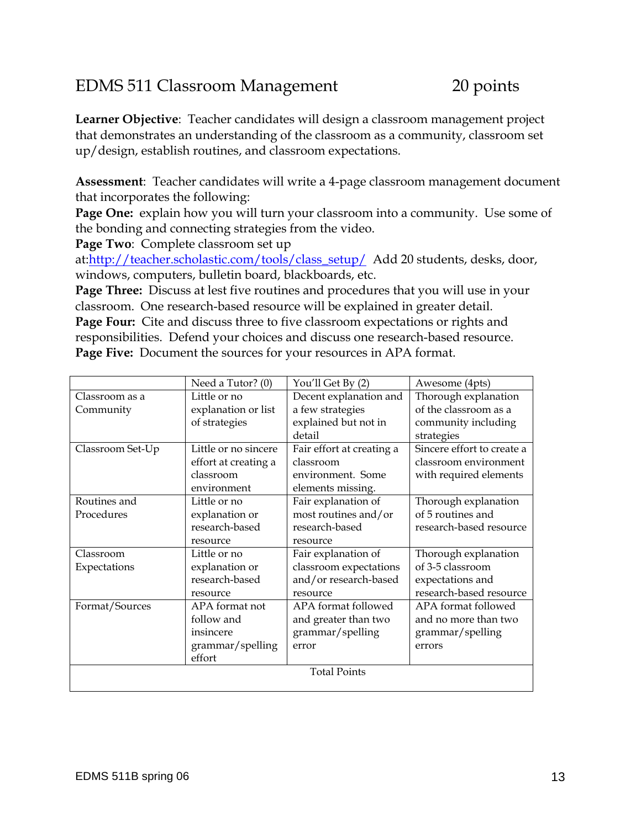# EDMS 511 Classroom Management 20 points

**Learner Objective**: Teacher candidates will design a classroom management project that demonstrates an understanding of the classroom as a community, classroom set up/design, establish routines, and classroom expectations.

**Assessment**: Teacher candidates will write a 4-page classroom management document that incorporates the following:

**Page One:** explain how you will turn your classroom into a community. Use some of the bonding and connecting strategies from the video.

**Page Two**: Complete classroom set up

at:http://teacher.scholastic.com/tools/class\_setup/ Add 20 students, desks, door, windows, computers, bulletin board, blackboards, etc.

**Page Three:** Discuss at lest five routines and procedures that you will use in your classroom. One research-based resource will be explained in greater detail.

**Page Four:** Cite and discuss three to five classroom expectations or rights and responsibilities. Defend your choices and discuss one research-based resource. **Page Five:** Document the sources for your resources in APA format.

|                     | Need a Tutor? (0)    | You'll Get By (2)         | Awesome (4pts)             |  |
|---------------------|----------------------|---------------------------|----------------------------|--|
| Classroom as a      | Little or no         | Decent explanation and    | Thorough explanation       |  |
| Community           | explanation or list  | a few strategies          | of the classroom as a      |  |
|                     | of strategies        | explained but not in      | community including        |  |
|                     |                      | detail                    | strategies                 |  |
| Classroom Set-Up    | Little or no sincere | Fair effort at creating a | Sincere effort to create a |  |
|                     | effort at creating a | classroom                 | classroom environment      |  |
|                     | classroom            | environment. Some         | with required elements     |  |
|                     | environment          | elements missing.         |                            |  |
| Routines and        | Little or no         | Fair explanation of       | Thorough explanation       |  |
| Procedures          | explanation or       | most routines and/or      | of 5 routines and          |  |
|                     | research-based       | research-based            | research-based resource    |  |
|                     | resource             | resource                  |                            |  |
| Classroom           | Little or no         | Fair explanation of       | Thorough explanation       |  |
| Expectations        | explanation or       | classroom expectations    | of 3-5 classroom           |  |
|                     | research-based       | and/or research-based     | expectations and           |  |
|                     | resource             | resource                  | research-based resource    |  |
| Format/Sources      | APA format not       | APA format followed       | APA format followed        |  |
|                     | follow and           | and greater than two      | and no more than two       |  |
|                     | insincere            | grammar/spelling          | grammar/spelling           |  |
|                     | grammar/spelling     | error                     | errors                     |  |
|                     | effort               |                           |                            |  |
| <b>Total Points</b> |                      |                           |                            |  |
|                     |                      |                           |                            |  |